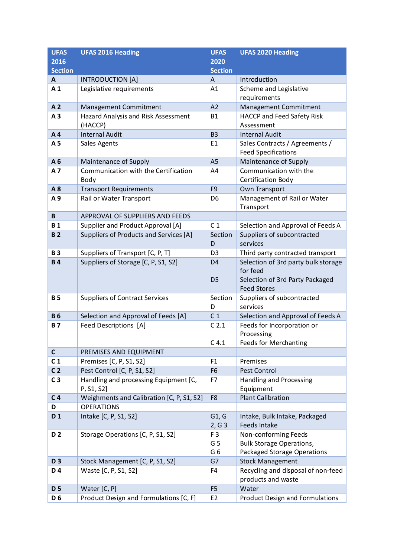| <b>UFAS</b>    | <b>UFAS 2016 Heading</b>                            | <b>UFAS</b>                      | <b>UFAS 2020 Heading</b>                                                           |
|----------------|-----------------------------------------------------|----------------------------------|------------------------------------------------------------------------------------|
| 2016           |                                                     | 2020                             |                                                                                    |
| <b>Section</b> |                                                     | <b>Section</b>                   |                                                                                    |
| A              | <b>INTRODUCTION [A]</b>                             | A                                | Introduction                                                                       |
| A <sub>1</sub> | Legislative requirements                            | A1                               | Scheme and Legislative<br>requirements                                             |
| A <sub>2</sub> | Management Commitment                               | A2                               | Management Commitment                                                              |
| A <sub>3</sub> | Hazard Analysis and Risk Assessment                 | <b>B1</b>                        | <b>HACCP and Feed Safety Risk</b>                                                  |
|                | (HACCP)                                             |                                  | Assessment                                                                         |
| A4             | <b>Internal Audit</b>                               | <b>B3</b>                        | <b>Internal Audit</b>                                                              |
| A <sub>5</sub> | Sales Agents                                        | E1                               | Sales Contracts / Agreements /<br><b>Feed Specifications</b>                       |
| A6             | Maintenance of Supply                               | A <sub>5</sub>                   | Maintenance of Supply                                                              |
| A7             | Communication with the Certification<br>Body        | A4                               | Communication with the<br>Certification Body                                       |
| A8             | <b>Transport Requirements</b>                       | F <sub>9</sub>                   | Own Transport                                                                      |
| A9             | Rail or Water Transport                             | D <sub>6</sub>                   | Management of Rail or Water<br>Transport                                           |
| $\, {\bf B}$   | APPROVAL OF SUPPLIERS AND FEEDS                     |                                  |                                                                                    |
| <b>B1</b>      | Supplier and Product Approval [A]                   | C <sub>1</sub>                   | Selection and Approval of Feeds A                                                  |
| <b>B2</b>      | Suppliers of Products and Services [A]              | Section                          | Suppliers of subcontracted                                                         |
|                |                                                     | D                                | services                                                                           |
| <b>B3</b>      | Suppliers of Transport [C, P, T]                    | D <sub>3</sub>                   | Third party contracted transport                                                   |
| <b>B4</b>      | Suppliers of Storage [C, P, S1, S2]                 | D <sub>4</sub><br>D <sub>5</sub> | Selection of 3rd party bulk storage<br>for feed<br>Selection of 3rd Party Packaged |
|                |                                                     |                                  | <b>Feed Stores</b>                                                                 |
| <b>B5</b>      | <b>Suppliers of Contract Services</b>               | Section                          | Suppliers of subcontracted                                                         |
|                |                                                     | D                                | services                                                                           |
| <b>B6</b>      | Selection and Approval of Feeds [A]                 | C <sub>1</sub>                   | Selection and Approval of Feeds A                                                  |
| <b>B7</b>      | Feed Descriptions [A]                               | C <sub>2.1</sub>                 | Feeds for Incorporation or<br>Processing                                           |
|                |                                                     | C <sub>4.1</sub>                 | <b>Feeds for Merchanting</b>                                                       |
| $\mathsf{C}$   | PREMISES AND EQUIPMENT                              |                                  |                                                                                    |
| C <sub>1</sub> | Premises [C, P, S1, S2]                             | F1                               | Premises                                                                           |
| C <sub>2</sub> | Pest Control [C, P, S1, S2]                         | F <sub>6</sub>                   | Pest Control                                                                       |
| C <sub>3</sub> | Handling and processing Equipment [C,<br>P, S1, S2] | F7                               | <b>Handling and Processing</b><br>Equipment                                        |
| C <sub>4</sub> | Weighments and Calibration [C, P, S1, S2]           | F <sub>8</sub>                   | <b>Plant Calibration</b>                                                           |
| D              | <b>OPERATIONS</b>                                   |                                  |                                                                                    |
| D <sub>1</sub> | Intake [C, P, S1, S2]                               | G1, G<br>2, G3                   | Intake, Bulk Intake, Packaged<br>Feeds Intake                                      |
| D <sub>2</sub> | Storage Operations [C, P, S1, S2]                   | F <sub>3</sub>                   | Non-conforming Feeds                                                               |
|                |                                                     | G <sub>5</sub>                   | <b>Bulk Storage Operations,</b>                                                    |
|                |                                                     | G <sub>6</sub>                   | <b>Packaged Storage Operations</b>                                                 |
| D <sub>3</sub> | Stock Management [C, P, S1, S2]                     | G7                               | <b>Stock Management</b>                                                            |
| D 4            | Waste [C, P, S1, S2]                                | F4                               | Recycling and disposal of non-feed<br>products and waste                           |
| <b>D5</b>      | Water [C, P]                                        | F <sub>5</sub>                   | Water                                                                              |
| D <sub>6</sub> | Product Design and Formulations [C, F]              | E <sub>2</sub>                   | <b>Product Design and Formulations</b>                                             |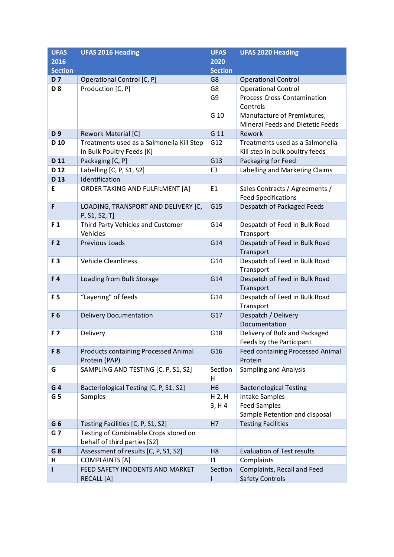| <b>UFAS</b>     | <b>UFAS 2016 Heading</b>                  | <b>UFAS</b>    | <b>UFAS 2020 Heading</b>                                  |
|-----------------|-------------------------------------------|----------------|-----------------------------------------------------------|
| 2016            |                                           | 2020           |                                                           |
| <b>Section</b>  |                                           | <b>Section</b> |                                                           |
| <b>D7</b>       | Operational Control [C, P]                | G8             | <b>Operational Control</b>                                |
| D <sub>8</sub>  | Production [C, P]                         | G8             | <b>Operational Control</b>                                |
|                 |                                           | G9             | <b>Process Cross-Contamination</b>                        |
|                 |                                           |                | Controls                                                  |
|                 |                                           | G 10           | Manufacture of Premixtures,                               |
|                 |                                           |                | Mineral Feeds and Dietetic Feeds                          |
| D <sub>9</sub>  | Rework Material [C]                       | G 11           | Rework                                                    |
| D <sub>10</sub> | Treatments used as a Salmonella Kill Step | G12            | Treatments used as a Salmonella                           |
|                 | in Bulk Poultry Feeds [K]                 |                | Kill step in bulk poultry feeds                           |
| D 11            | Packaging [C, P]                          | G13            | Packaging for Feed                                        |
| D <sub>12</sub> | Labelling [C, P, S1, S2]                  | E <sub>3</sub> | Labelling and Marketing Claims                            |
| D <sub>13</sub> | Identification                            |                |                                                           |
| E               | ORDER TAKING AND FULFILMENT [A]           | E1             | Sales Contracts / Agreements /                            |
|                 |                                           |                | <b>Feed Specifications</b>                                |
| F               | LOADING, TRANSPORT AND DELIVERY [C,       | G15            | Despatch of Packaged Feeds                                |
|                 | P, S1, S2, T]                             |                |                                                           |
| F <sub>1</sub>  | Third Party Vehicles and Customer         | G14            | Despatch of Feed in Bulk Road                             |
|                 | Vehicles                                  |                | Transport                                                 |
| F <sub>2</sub>  | Previous Loads                            | G14            | Despatch of Feed in Bulk Road                             |
|                 |                                           |                | Transport                                                 |
| F <sub>3</sub>  | <b>Vehicle Cleanliness</b>                | G14            | Despatch of Feed in Bulk Road                             |
|                 |                                           |                | Transport                                                 |
| F4              | Loading from Bulk Storage                 | G14            | Despatch of Feed in Bulk Road                             |
|                 |                                           |                | Transport                                                 |
| F <sub>5</sub>  | "Layering" of feeds                       | G14            | Despatch of Feed in Bulk Road                             |
|                 |                                           |                | Transport                                                 |
| F6              | <b>Delivery Documentation</b>             | G17            | Despatch / Delivery                                       |
| <b>F7</b>       | Delivery                                  | G18            | Documentation                                             |
|                 |                                           |                | Delivery of Bulk and Packaged<br>Feeds by the Participant |
| F <sub>8</sub>  | Products containing Processed Animal      | G16            | Feed containing Processed Animal                          |
|                 | Protein (PAP)                             |                | Protein                                                   |
| G               | SAMPLING AND TESTING [C, P, S1, S2]       | Section        | <b>Sampling and Analysis</b>                              |
|                 |                                           | H              |                                                           |
| G <sub>4</sub>  | Bacteriological Testing [C, P, S1, S2]    | H <sub>6</sub> | <b>Bacteriological Testing</b>                            |
| G <sub>5</sub>  | Samples                                   | H 2, H         | Intake Samples                                            |
|                 |                                           | 3, H4          | <b>Feed Samples</b>                                       |
|                 |                                           |                | Sample Retention and disposal                             |
| G <sub>6</sub>  | Testing Facilities [C, P, S1, S2]         | H7             | <b>Testing Facilities</b>                                 |
| G 7             | Testing of Combinable Crops stored on     |                |                                                           |
|                 | behalf of third parties [S2]              |                |                                                           |
| G 8             | Assessment of results [C, P, S1, S2]      | H <sub>8</sub> | <b>Evaluation of Test results</b>                         |
| н               | <b>COMPLAINTS [A]</b>                     | 1              | Complaints                                                |
|                 | FEED SAFETY INCIDENTS AND MARKET          | Section        | Complaints, Recall and Feed                               |
|                 | <b>RECALL</b> [A]                         | L              | <b>Safety Controls</b>                                    |